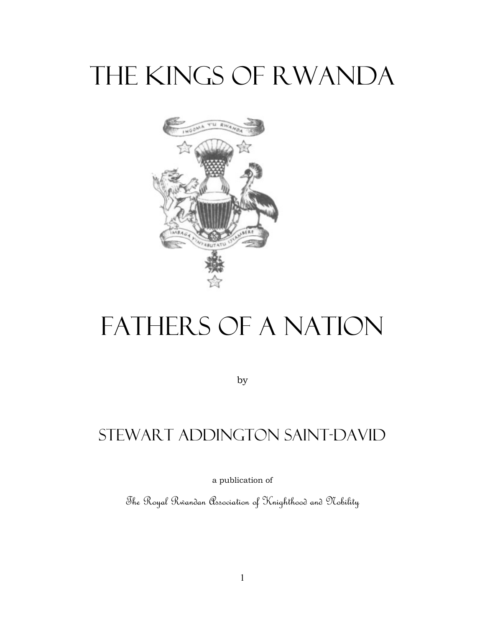# The Kings of Rwanda



# Fathers of a Nation

by

# Stewart Addington Saint-David

a publication of

The Royal Rwandan Association of Knighthood and Nobility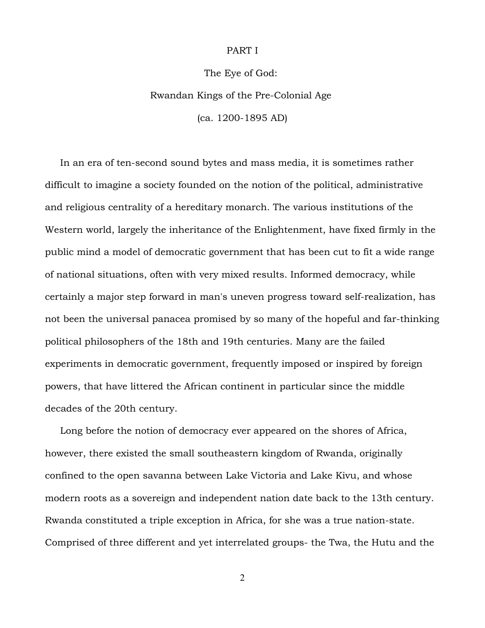### PART I

### The Eye of God:

# Rwandan Kings of the Pre-Colonial Age

(ca. 1200-1895 AD)

 In an era of ten-second sound bytes and mass media, it is sometimes rather difficult to imagine a society founded on the notion of the political, administrative and religious centrality of a hereditary monarch. The various institutions of the Western world, largely the inheritance of the Enlightenment, have fixed firmly in the public mind a model of democratic government that has been cut to fit a wide range of national situations, often with very mixed results. Informed democracy, while certainly a major step forward in man's uneven progress toward self-realization, has not been the universal panacea promised by so many of the hopeful and far-thinking political philosophers of the 18th and 19th centuries. Many are the failed experiments in democratic government, frequently imposed or inspired by foreign powers, that have littered the African continent in particular since the middle decades of the 20th century.

 Long before the notion of democracy ever appeared on the shores of Africa, however, there existed the small southeastern kingdom of Rwanda, originally confined to the open savanna between Lake Victoria and Lake Kivu, and whose modern roots as a sovereign and independent nation date back to the 13th century. Rwanda constituted a triple exception in Africa, for she was a true nation-state. Comprised of three different and yet interrelated groups- the Twa, the Hutu and the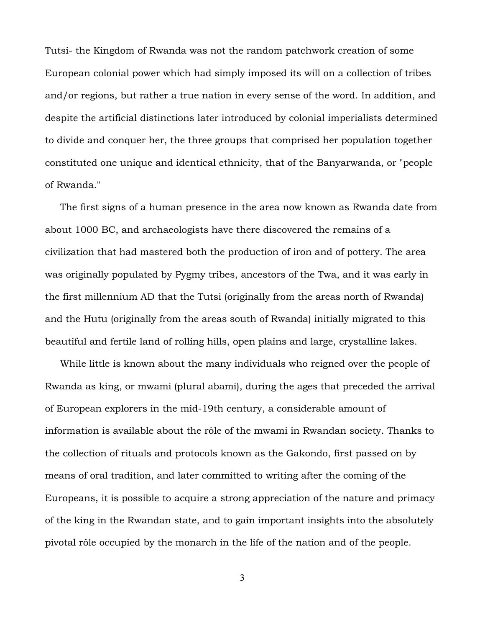Tutsi- the Kingdom of Rwanda was not the random patchwork creation of some European colonial power which had simply imposed its will on a collection of tribes and/or regions, but rather a true nation in every sense of the word. In addition, and despite the artificial distinctions later introduced by colonial imperialists determined to divide and conquer her, the three groups that comprised her population together constituted one unique and identical ethnicity, that of the Banyarwanda, or "people of Rwanda."

 The first signs of a human presence in the area now known as Rwanda date from about 1000 BC, and archaeologists have there discovered the remains of a civilization that had mastered both the production of iron and of pottery. The area was originally populated by Pygmy tribes, ancestors of the Twa, and it was early in the first millennium AD that the Tutsi (originally from the areas north of Rwanda) and the Hutu (originally from the areas south of Rwanda) initially migrated to this beautiful and fertile land of rolling hills, open plains and large, crystalline lakes.

 While little is known about the many individuals who reigned over the people of Rwanda as king, or mwami (plural abami), during the ages that preceded the arrival of European explorers in the mid-19th century, a considerable amount of information is available about the rôle of the mwami in Rwandan society. Thanks to the collection of rituals and protocols known as the Gakondo, first passed on by means of oral tradition, and later committed to writing after the coming of the Europeans, it is possible to acquire a strong appreciation of the nature and primacy of the king in the Rwandan state, and to gain important insights into the absolutely pivotal rôle occupied by the monarch in the life of the nation and of the people.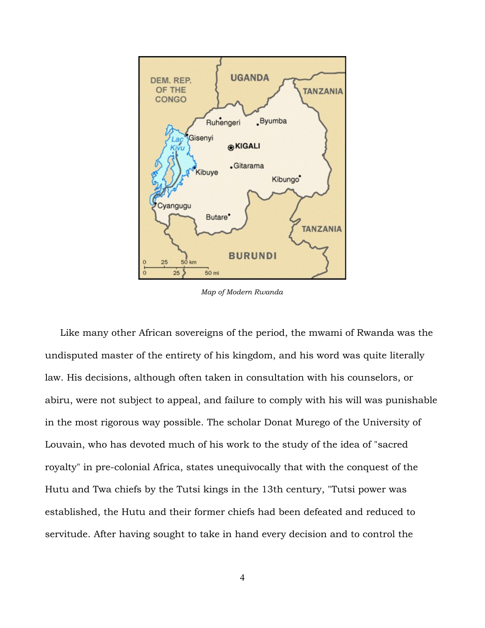

*Map of Modern Rwanda*

 Like many other African sovereigns of the period, the mwami of Rwanda was the undisputed master of the entirety of his kingdom, and his word was quite literally law. His decisions, although often taken in consultation with his counselors, or abiru, were not subject to appeal, and failure to comply with his will was punishable in the most rigorous way possible. The scholar Donat Murego of the University of Louvain, who has devoted much of his work to the study of the idea of "sacred royalty" in pre-colonial Africa, states unequivocally that with the conquest of the Hutu and Twa chiefs by the Tutsi kings in the 13th century, "Tutsi power was established, the Hutu and their former chiefs had been defeated and reduced to servitude. After having sought to take in hand every decision and to control the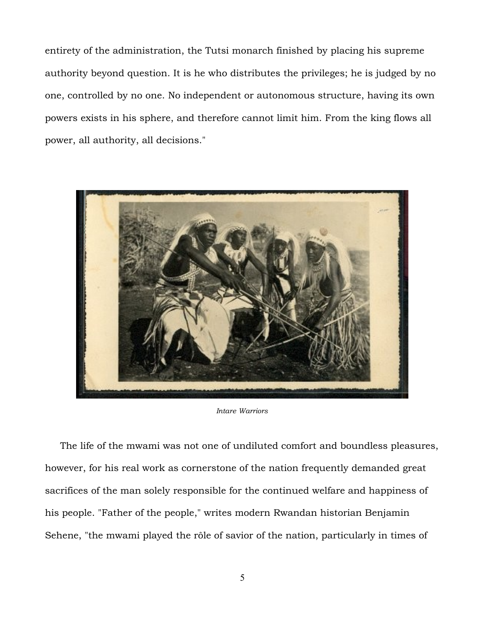entirety of the administration, the Tutsi monarch finished by placing his supreme authority beyond question. It is he who distributes the privileges; he is judged by no one, controlled by no one. No independent or autonomous structure, having its own powers exists in his sphere, and therefore cannot limit him. From the king flows all power, all authority, all decisions."



*Intare Warriors*

 The life of the mwami was not one of undiluted comfort and boundless pleasures, however, for his real work as cornerstone of the nation frequently demanded great sacrifices of the man solely responsible for the continued welfare and happiness of his people. "Father of the people," writes modern Rwandan historian Benjamin Sehene, "the mwami played the rôle of savior of the nation, particularly in times of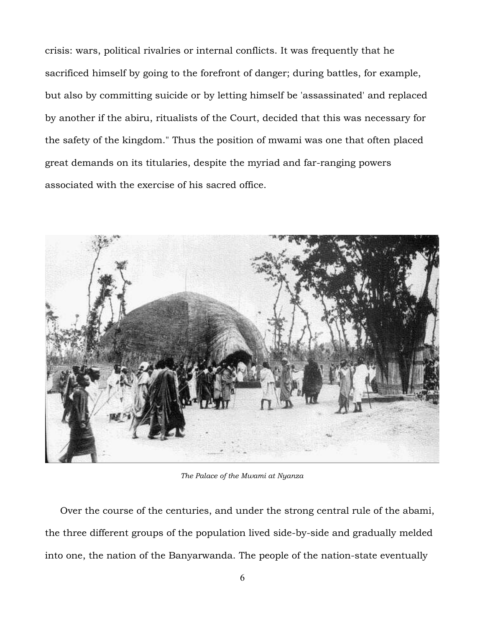crisis: wars, political rivalries or internal conflicts. It was frequently that he sacrificed himself by going to the forefront of danger; during battles, for example, but also by committing suicide or by letting himself be 'assassinated' and replaced by another if the abiru, ritualists of the Court, decided that this was necessary for the safety of the kingdom." Thus the position of mwami was one that often placed great demands on its titularies, despite the myriad and far-ranging powers associated with the exercise of his sacred office.



*The Palace of the Mwami at Nyanza*

 Over the course of the centuries, and under the strong central rule of the abami, the three different groups of the population lived side-by-side and gradually melded into one, the nation of the Banyarwanda. The people of the nation-state eventually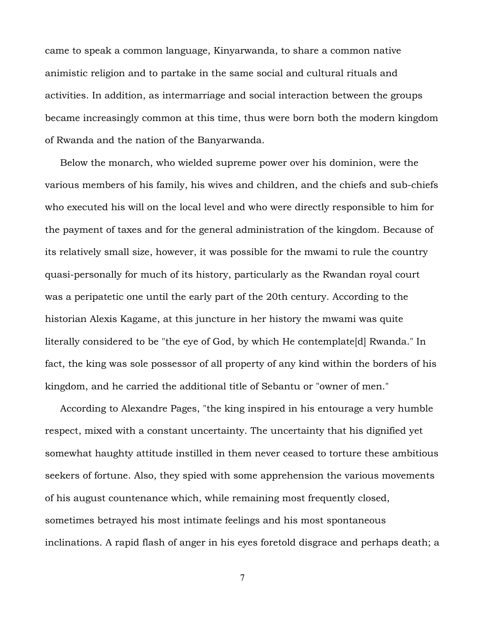came to speak a common language, Kinyarwanda, to share a common native animistic religion and to partake in the same social and cultural rituals and activities. In addition, as intermarriage and social interaction between the groups became increasingly common at this time, thus were born both the modern kingdom of Rwanda and the nation of the Banyarwanda.

 Below the monarch, who wielded supreme power over his dominion, were the various members of his family, his wives and children, and the chiefs and sub-chiefs who executed his will on the local level and who were directly responsible to him for the payment of taxes and for the general administration of the kingdom. Because of its relatively small size, however, it was possible for the mwami to rule the country quasi-personally for much of its history, particularly as the Rwandan royal court was a peripatetic one until the early part of the 20th century. According to the historian Alexis Kagame, at this juncture in her history the mwami was quite literally considered to be "the eye of God, by which He contemplate[d] Rwanda." In fact, the king was sole possessor of all property of any kind within the borders of his kingdom, and he carried the additional title of Sebantu or "owner of men."

 According to Alexandre Pages, "the king inspired in his entourage a very humble respect, mixed with a constant uncertainty. The uncertainty that his dignified yet somewhat haughty attitude instilled in them never ceased to torture these ambitious seekers of fortune. Also, they spied with some apprehension the various movements of his august countenance which, while remaining most frequently closed, sometimes betrayed his most intimate feelings and his most spontaneous inclinations. A rapid flash of anger in his eyes foretold disgrace and perhaps death; a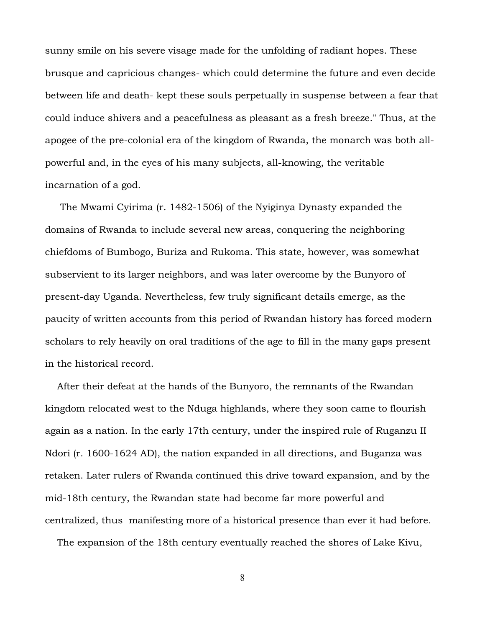sunny smile on his severe visage made for the unfolding of radiant hopes. These brusque and capricious changes- which could determine the future and even decide between life and death- kept these souls perpetually in suspense between a fear that could induce shivers and a peacefulness as pleasant as a fresh breeze." Thus, at the apogee of the pre-colonial era of the kingdom of Rwanda, the monarch was both allpowerful and, in the eyes of his many subjects, all-knowing, the veritable incarnation of a god.

 The Mwami Cyirima (r. 1482-1506) of the Nyiginya Dynasty expanded the domains of Rwanda to include several new areas, conquering the neighboring chiefdoms of Bumbogo, Buriza and Rukoma. This state, however, was somewhat subservient to its larger neighbors, and was later overcome by the Bunyoro of present-day Uganda. Nevertheless, few truly significant details emerge, as the paucity of written accounts from this period of Rwandan history has forced modern scholars to rely heavily on oral traditions of the age to fill in the many gaps present in the historical record.

 After their defeat at the hands of the Bunyoro, the remnants of the Rwandan kingdom relocated west to the Nduga highlands, where they soon came to flourish again as a nation. In the early 17th century, under the inspired rule of Ruganzu II Ndori (r. 1600-1624 AD), the nation expanded in all directions, and Buganza was retaken. Later rulers of Rwanda continued this drive toward expansion, and by the mid-18th century, the Rwandan state had become far more powerful and centralized, thus manifesting more of a historical presence than ever it had before.

The expansion of the 18th century eventually reached the shores of Lake Kivu,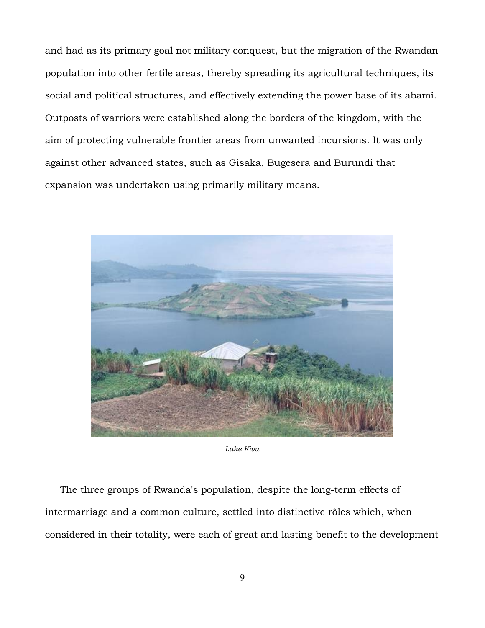and had as its primary goal not military conquest, but the migration of the Rwandan population into other fertile areas, thereby spreading its agricultural techniques, its social and political structures, and effectively extending the power base of its abami. Outposts of warriors were established along the borders of the kingdom, with the aim of protecting vulnerable frontier areas from unwanted incursions. It was only against other advanced states, such as Gisaka, Bugesera and Burundi that expansion was undertaken using primarily military means.



*Lake Kivu*

 The three groups of Rwanda's population, despite the long-term effects of intermarriage and a common culture, settled into distinctive rôles which, when considered in their totality, were each of great and lasting benefit to the development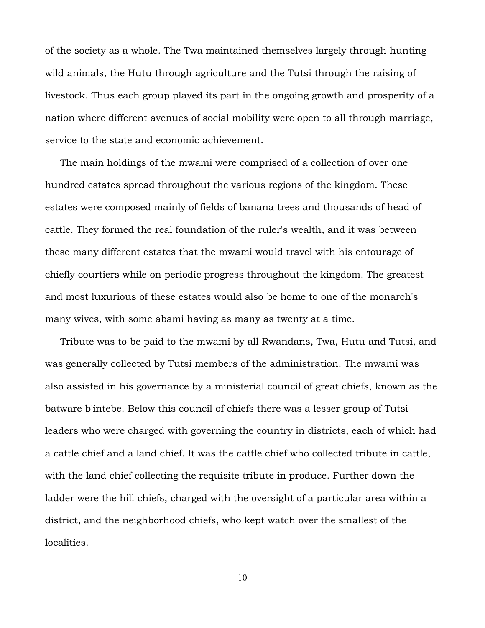of the society as a whole. The Twa maintained themselves largely through hunting wild animals, the Hutu through agriculture and the Tutsi through the raising of livestock. Thus each group played its part in the ongoing growth and prosperity of a nation where different avenues of social mobility were open to all through marriage, service to the state and economic achievement.

 The main holdings of the mwami were comprised of a collection of over one hundred estates spread throughout the various regions of the kingdom. These estates were composed mainly of fields of banana trees and thousands of head of cattle. They formed the real foundation of the ruler's wealth, and it was between these many different estates that the mwami would travel with his entourage of chiefly courtiers while on periodic progress throughout the kingdom. The greatest and most luxurious of these estates would also be home to one of the monarch's many wives, with some abami having as many as twenty at a time.

 Tribute was to be paid to the mwami by all Rwandans, Twa, Hutu and Tutsi, and was generally collected by Tutsi members of the administration. The mwami was also assisted in his governance by a ministerial council of great chiefs, known as the batware b'intebe. Below this council of chiefs there was a lesser group of Tutsi leaders who were charged with governing the country in districts, each of which had a cattle chief and a land chief. It was the cattle chief who collected tribute in cattle, with the land chief collecting the requisite tribute in produce. Further down the ladder were the hill chiefs, charged with the oversight of a particular area within a district, and the neighborhood chiefs, who kept watch over the smallest of the localities.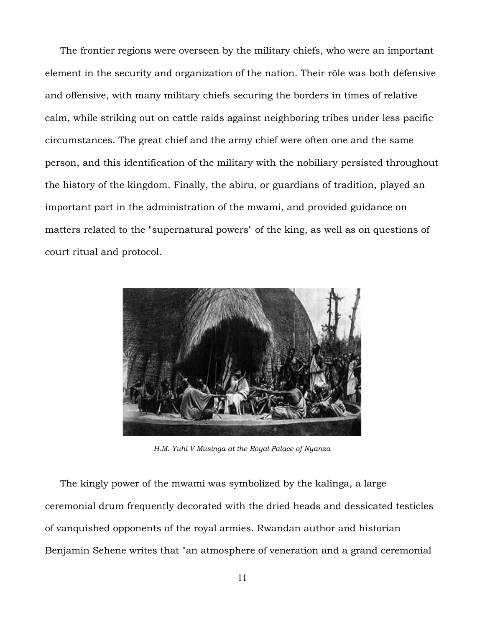The frontier regions were overseen by the military chiefs, who were an important element in the security and organization of the nation. Their rôle was both defensive and offensive, with many military chiefs securing the borders in times of relative calm, while striking out on cattle raids against neighboring tribes under less pacific circumstances. The great chief and the army chief were often one and the same person, and this identification of the military with the nobiliary persisted throughout the history of the kingdom. Finally, the abiru, or guardians of tradition, played an important part in the administration of the mwami, and provided guidance on matters related to the "supernatural powers" of the king, as well as on questions of court ritual and protocol.



*H.M. Yuhi V Musinga at the Royal Palace of Nyanza*

 The kingly power of the mwami was symbolized by the kalinga, a large ceremonial drum frequently decorated with the dried heads and dessicated testicles of vanquished opponents of the royal armies. Rwandan author and historian Benjamin Sehene writes that "an atmosphere of veneration and a grand ceremonial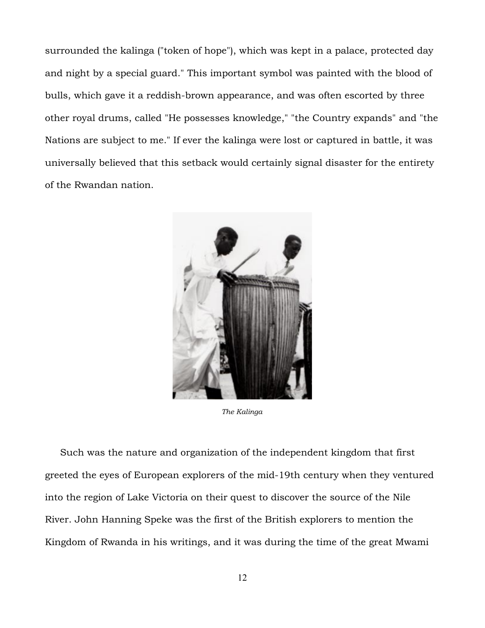surrounded the kalinga ("token of hope"), which was kept in a palace, protected day and night by a special guard." This important symbol was painted with the blood of bulls, which gave it a reddish-brown appearance, and was often escorted by three other royal drums, called "He possesses knowledge," "the Country expands" and "the Nations are subject to me." If ever the kalinga were lost or captured in battle, it was universally believed that this setback would certainly signal disaster for the entirety of the Rwandan nation.



*The Kalinga*

 Such was the nature and organization of the independent kingdom that first greeted the eyes of European explorers of the mid-19th century when they ventured into the region of Lake Victoria on their quest to discover the source of the Nile River. John Hanning Speke was the first of the British explorers to mention the Kingdom of Rwanda in his writings, and it was during the time of the great Mwami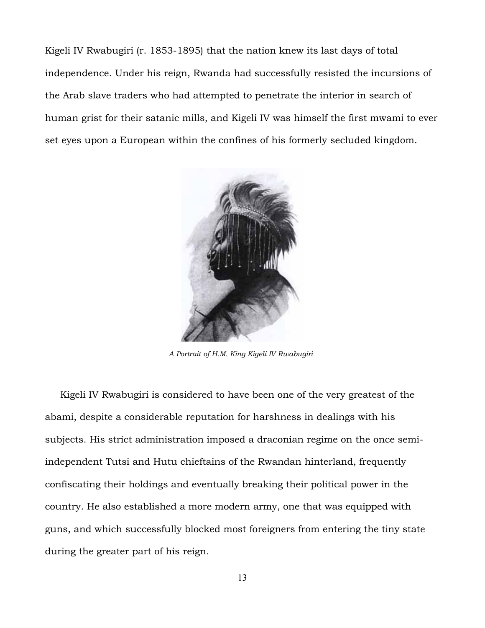Kigeli IV Rwabugiri (r. 1853-1895) that the nation knew its last days of total independence. Under his reign, Rwanda had successfully resisted the incursions of the Arab slave traders who had attempted to penetrate the interior in search of human grist for their satanic mills, and Kigeli IV was himself the first mwami to ever set eyes upon a European within the confines of his formerly secluded kingdom.



*A Portrait of H.M. King Kigeli IV Rwabugiri* 

 Kigeli IV Rwabugiri is considered to have been one of the very greatest of the abami, despite a considerable reputation for harshness in dealings with his subjects. His strict administration imposed a draconian regime on the once semiindependent Tutsi and Hutu chieftains of the Rwandan hinterland, frequently confiscating their holdings and eventually breaking their political power in the country. He also established a more modern army, one that was equipped with guns, and which successfully blocked most foreigners from entering the tiny state during the greater part of his reign.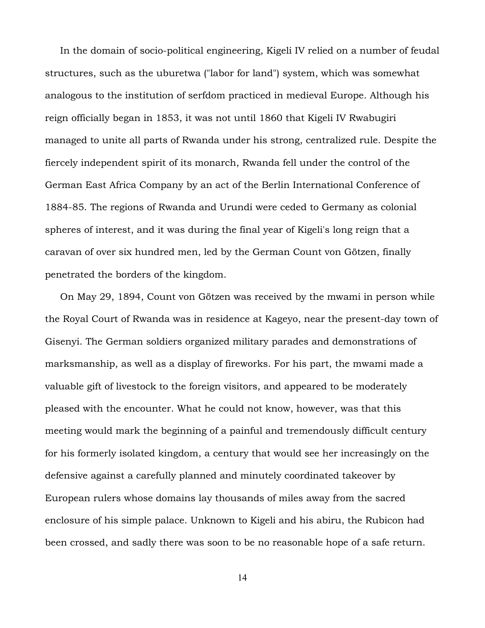In the domain of socio-political engineering, Kigeli IV relied on a number of feudal structures, such as the uburetwa ("labor for land") system, which was somewhat analogous to the institution of serfdom practiced in medieval Europe. Although his reign officially began in 1853, it was not until 1860 that Kigeli IV Rwabugiri managed to unite all parts of Rwanda under his strong, centralized rule. Despite the fiercely independent spirit of its monarch, Rwanda fell under the control of the German East Africa Company by an act of the Berlin International Conference of 1884-85. The regions of Rwanda and Urundi were ceded to Germany as colonial spheres of interest, and it was during the final year of Kigeli's long reign that a caravan of over six hundred men, led by the German Count von Götzen, finally penetrated the borders of the kingdom.

 On May 29, 1894, Count von Götzen was received by the mwami in person while the Royal Court of Rwanda was in residence at Kageyo, near the present-day town of Gisenyi. The German soldiers organized military parades and demonstrations of marksmanship, as well as a display of fireworks. For his part, the mwami made a valuable gift of livestock to the foreign visitors, and appeared to be moderately pleased with the encounter. What he could not know, however, was that this meeting would mark the beginning of a painful and tremendously difficult century for his formerly isolated kingdom, a century that would see her increasingly on the defensive against a carefully planned and minutely coordinated takeover by European rulers whose domains lay thousands of miles away from the sacred enclosure of his simple palace. Unknown to Kigeli and his abiru, the Rubicon had been crossed, and sadly there was soon to be no reasonable hope of a safe return.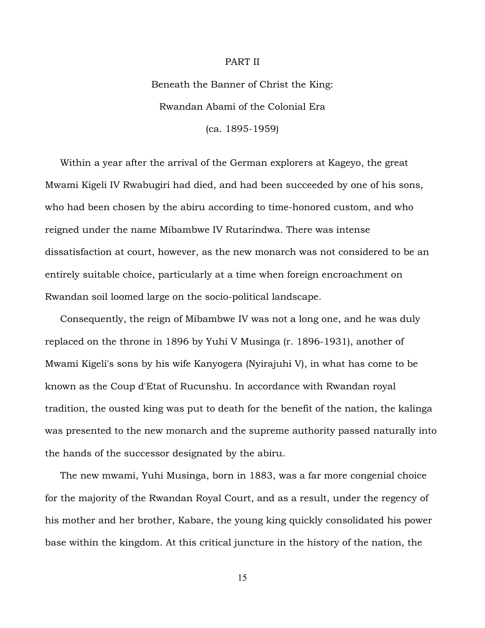# PART II

Beneath the Banner of Christ the King: Rwandan Abami of the Colonial Era (ca. 1895-1959)

 Within a year after the arrival of the German explorers at Kageyo, the great Mwami Kigeli IV Rwabugiri had died, and had been succeeded by one of his sons, who had been chosen by the abiru according to time-honored custom, and who reigned under the name Mibambwe IV Rutarindwa. There was intense dissatisfaction at court, however, as the new monarch was not considered to be an entirely suitable choice, particularly at a time when foreign encroachment on Rwandan soil loomed large on the socio-political landscape.

 Consequently, the reign of Mibambwe IV was not a long one, and he was duly replaced on the throne in 1896 by Yuhi V Musinga (r. 1896-1931), another of Mwami Kigeli's sons by his wife Kanyogera (Nyirajuhi V), in what has come to be known as the Coup d'Etat of Rucunshu. In accordance with Rwandan royal tradition, the ousted king was put to death for the benefit of the nation, the kalinga was presented to the new monarch and the supreme authority passed naturally into the hands of the successor designated by the abiru.

 The new mwami, Yuhi Musinga, born in 1883, was a far more congenial choice for the majority of the Rwandan Royal Court, and as a result, under the regency of his mother and her brother, Kabare, the young king quickly consolidated his power base within the kingdom. At this critical juncture in the history of the nation, the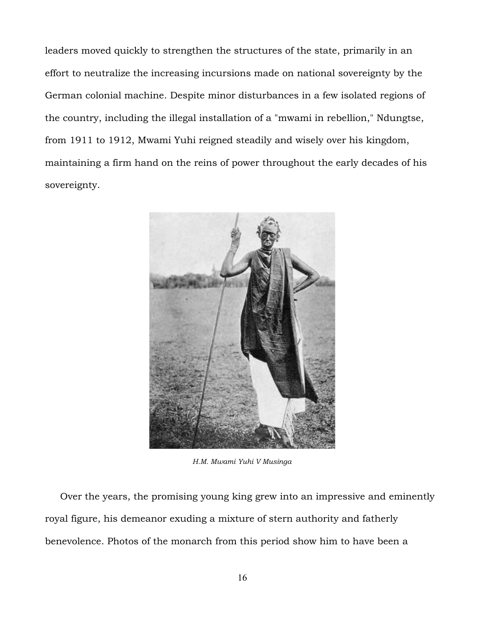leaders moved quickly to strengthen the structures of the state, primarily in an effort to neutralize the increasing incursions made on national sovereignty by the German colonial machine. Despite minor disturbances in a few isolated regions of the country, including the illegal installation of a "mwami in rebellion," Ndungtse, from 1911 to 1912, Mwami Yuhi reigned steadily and wisely over his kingdom, maintaining a firm hand on the reins of power throughout the early decades of his sovereignty.



*H.M. Mwami Yuhi V Musinga*

 Over the years, the promising young king grew into an impressive and eminently royal figure, his demeanor exuding a mixture of stern authority and fatherly benevolence. Photos of the monarch from this period show him to have been a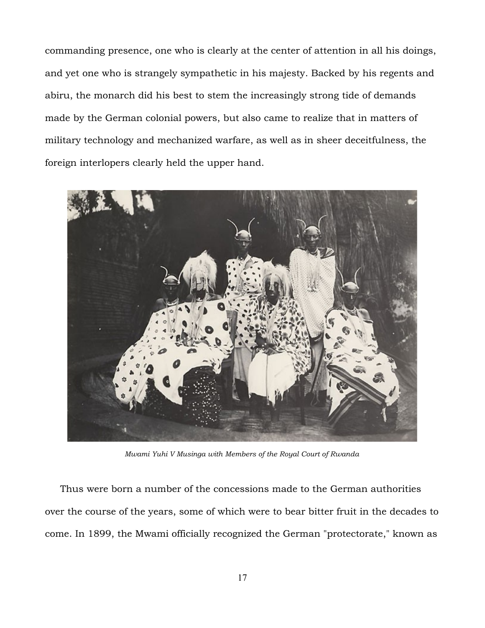commanding presence, one who is clearly at the center of attention in all his doings, and yet one who is strangely sympathetic in his majesty. Backed by his regents and abiru, the monarch did his best to stem the increasingly strong tide of demands made by the German colonial powers, but also came to realize that in matters of military technology and mechanized warfare, as well as in sheer deceitfulness, the foreign interlopers clearly held the upper hand.



*Mwami Yuhi V Musinga with Members of the Royal Court of Rwanda*

 Thus were born a number of the concessions made to the German authorities over the course of the years, some of which were to bear bitter fruit in the decades to come. In 1899, the Mwami officially recognized the German "protectorate," known as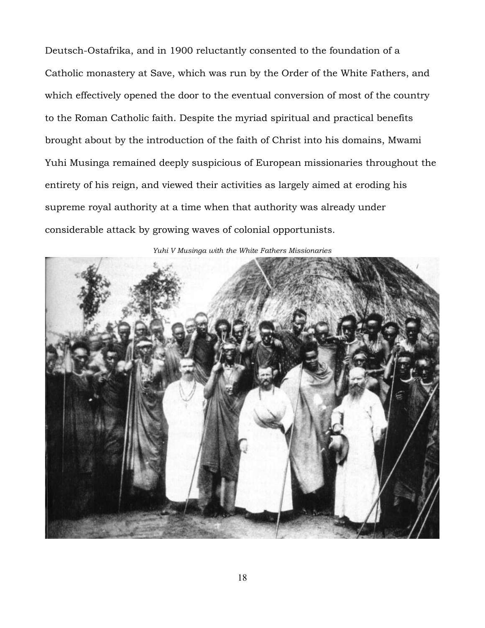Deutsch-Ostafrika, and in 1900 reluctantly consented to the foundation of a Catholic monastery at Save, which was run by the Order of the White Fathers, and which effectively opened the door to the eventual conversion of most of the country to the Roman Catholic faith. Despite the myriad spiritual and practical benefits brought about by the introduction of the faith of Christ into his domains, Mwami Yuhi Musinga remained deeply suspicious of European missionaries throughout the entirety of his reign, and viewed their activities as largely aimed at eroding his supreme royal authority at a time when that authority was already under considerable attack by growing waves of colonial opportunists.



*Yuhi V Musinga with the White Fathers Missionaries*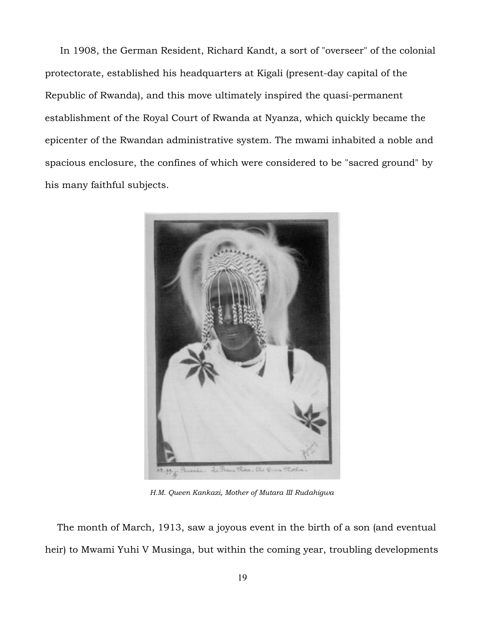In 1908, the German Resident, Richard Kandt, a sort of "overseer" of the colonial protectorate, established his headquarters at Kigali (present-day capital of the Republic of Rwanda), and this move ultimately inspired the quasi-permanent establishment of the Royal Court of Rwanda at Nyanza, which quickly became the epicenter of the Rwandan administrative system. The mwami inhabited a noble and spacious enclosure, the confines of which were considered to be "sacred ground" by his many faithful subjects.



*H.M. Queen Kankazi, Mother of Mutara III Rudahigwa*

 The month of March, 1913, saw a joyous event in the birth of a son (and eventual heir) to Mwami Yuhi V Musinga, but within the coming year, troubling developments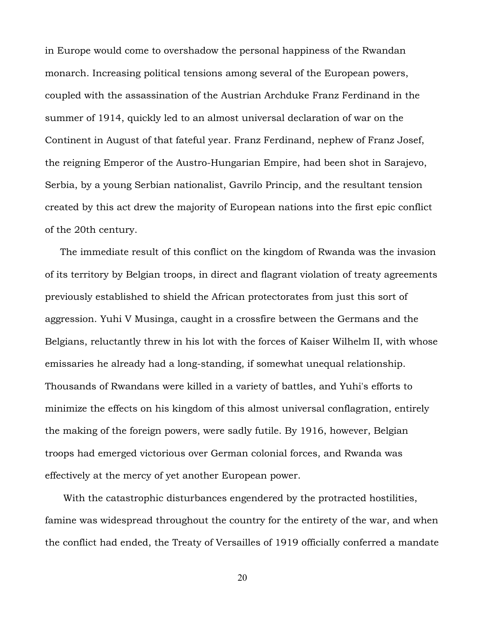in Europe would come to overshadow the personal happiness of the Rwandan monarch. Increasing political tensions among several of the European powers, coupled with the assassination of the Austrian Archduke Franz Ferdinand in the summer of 1914, quickly led to an almost universal declaration of war on the Continent in August of that fateful year. Franz Ferdinand, nephew of Franz Josef, the reigning Emperor of the Austro-Hungarian Empire, had been shot in Sarajevo, Serbia, by a young Serbian nationalist, Gavrilo Princip, and the resultant tension created by this act drew the majority of European nations into the first epic conflict of the 20th century.

 The immediate result of this conflict on the kingdom of Rwanda was the invasion of its territory by Belgian troops, in direct and flagrant violation of treaty agreements previously established to shield the African protectorates from just this sort of aggression. Yuhi V Musinga, caught in a crossfire between the Germans and the Belgians, reluctantly threw in his lot with the forces of Kaiser Wilhelm II, with whose emissaries he already had a long-standing, if somewhat unequal relationship. Thousands of Rwandans were killed in a variety of battles, and Yuhi's efforts to minimize the effects on his kingdom of this almost universal conflagration, entirely the making of the foreign powers, were sadly futile. By 1916, however, Belgian troops had emerged victorious over German colonial forces, and Rwanda was effectively at the mercy of yet another European power.

 With the catastrophic disturbances engendered by the protracted hostilities, famine was widespread throughout the country for the entirety of the war, and when the conflict had ended, the Treaty of Versailles of 1919 officially conferred a mandate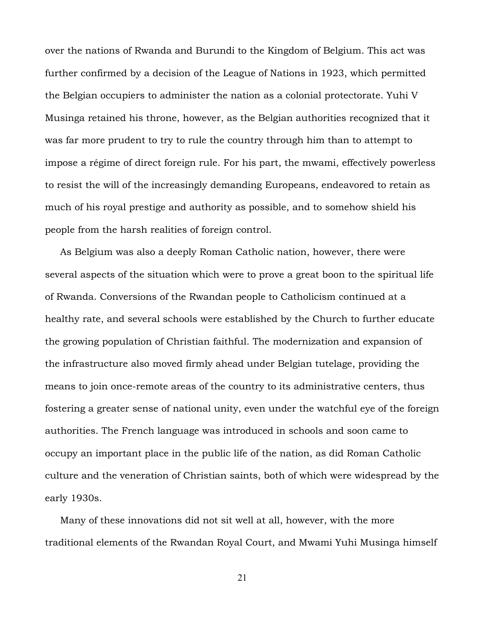over the nations of Rwanda and Burundi to the Kingdom of Belgium. This act was further confirmed by a decision of the League of Nations in 1923, which permitted the Belgian occupiers to administer the nation as a colonial protectorate. Yuhi V Musinga retained his throne, however, as the Belgian authorities recognized that it was far more prudent to try to rule the country through him than to attempt to impose a régime of direct foreign rule. For his part, the mwami, effectively powerless to resist the will of the increasingly demanding Europeans, endeavored to retain as much of his royal prestige and authority as possible, and to somehow shield his people from the harsh realities of foreign control.

 As Belgium was also a deeply Roman Catholic nation, however, there were several aspects of the situation which were to prove a great boon to the spiritual life of Rwanda. Conversions of the Rwandan people to Catholicism continued at a healthy rate, and several schools were established by the Church to further educate the growing population of Christian faithful. The modernization and expansion of the infrastructure also moved firmly ahead under Belgian tutelage, providing the means to join once-remote areas of the country to its administrative centers, thus fostering a greater sense of national unity, even under the watchful eye of the foreign authorities. The French language was introduced in schools and soon came to occupy an important place in the public life of the nation, as did Roman Catholic culture and the veneration of Christian saints, both of which were widespread by the early 1930s.

 Many of these innovations did not sit well at all, however, with the more traditional elements of the Rwandan Royal Court, and Mwami Yuhi Musinga himself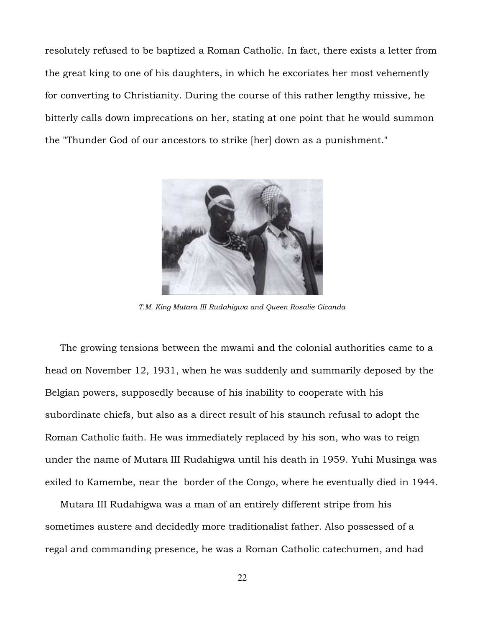resolutely refused to be baptized a Roman Catholic. In fact, there exists a letter from the great king to one of his daughters, in which he excoriates her most vehemently for converting to Christianity. During the course of this rather lengthy missive, he bitterly calls down imprecations on her, stating at one point that he would summon the "Thunder God of our ancestors to strike [her] down as a punishment."



*T.M. King Mutara III Rudahigwa and Queen Rosalie Gicanda*

 The growing tensions between the mwami and the colonial authorities came to a head on November 12, 1931, when he was suddenly and summarily deposed by the Belgian powers, supposedly because of his inability to cooperate with his subordinate chiefs, but also as a direct result of his staunch refusal to adopt the Roman Catholic faith. He was immediately replaced by his son, who was to reign under the name of Mutara III Rudahigwa until his death in 1959. Yuhi Musinga was exiled to Kamembe, near the border of the Congo, where he eventually died in 1944.

 Mutara III Rudahigwa was a man of an entirely different stripe from his sometimes austere and decidedly more traditionalist father. Also possessed of a regal and commanding presence, he was a Roman Catholic catechumen, and had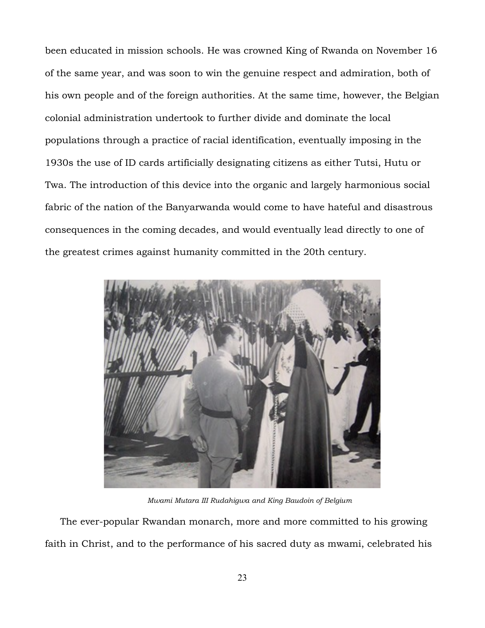been educated in mission schools. He was crowned King of Rwanda on November 16 of the same year, and was soon to win the genuine respect and admiration, both of his own people and of the foreign authorities. At the same time, however, the Belgian colonial administration undertook to further divide and dominate the local populations through a practice of racial identification, eventually imposing in the 1930s the use of ID cards artificially designating citizens as either Tutsi, Hutu or Twa. The introduction of this device into the organic and largely harmonious social fabric of the nation of the Banyarwanda would come to have hateful and disastrous consequences in the coming decades, and would eventually lead directly to one of the greatest crimes against humanity committed in the 20th century.



*Mwami Mutara III Rudahigwa and King Baudoin of Belgium*

 The ever-popular Rwandan monarch, more and more committed to his growing faith in Christ, and to the performance of his sacred duty as mwami, celebrated his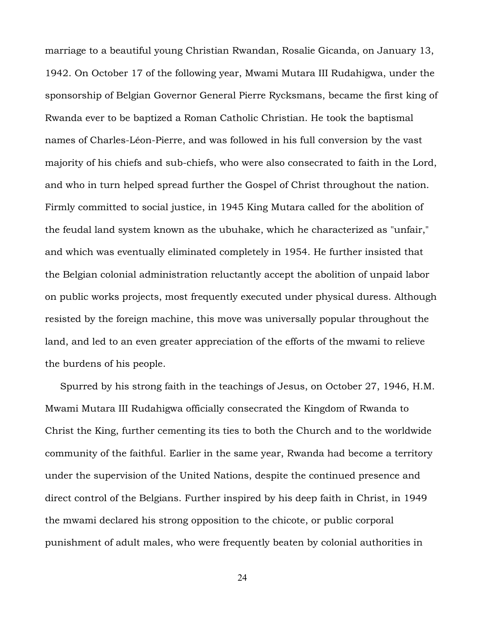marriage to a beautiful young Christian Rwandan, Rosalie Gicanda, on January 13, 1942. On October 17 of the following year, Mwami Mutara III Rudahigwa, under the sponsorship of Belgian Governor General Pierre Rycksmans, became the first king of Rwanda ever to be baptized a Roman Catholic Christian. He took the baptismal names of Charles-Léon-Pierre, and was followed in his full conversion by the vast majority of his chiefs and sub-chiefs, who were also consecrated to faith in the Lord, and who in turn helped spread further the Gospel of Christ throughout the nation. Firmly committed to social justice, in 1945 King Mutara called for the abolition of the feudal land system known as the ubuhake, which he characterized as "unfair," and which was eventually eliminated completely in 1954. He further insisted that the Belgian colonial administration reluctantly accept the abolition of unpaid labor on public works projects, most frequently executed under physical duress. Although resisted by the foreign machine, this move was universally popular throughout the land, and led to an even greater appreciation of the efforts of the mwami to relieve the burdens of his people.

 Spurred by his strong faith in the teachings of Jesus, on October 27, 1946, H.M. Mwami Mutara III Rudahigwa officially consecrated the Kingdom of Rwanda to Christ the King, further cementing its ties to both the Church and to the worldwide community of the faithful. Earlier in the same year, Rwanda had become a territory under the supervision of the United Nations, despite the continued presence and direct control of the Belgians. Further inspired by his deep faith in Christ, in 1949 the mwami declared his strong opposition to the chicote, or public corporal punishment of adult males, who were frequently beaten by colonial authorities in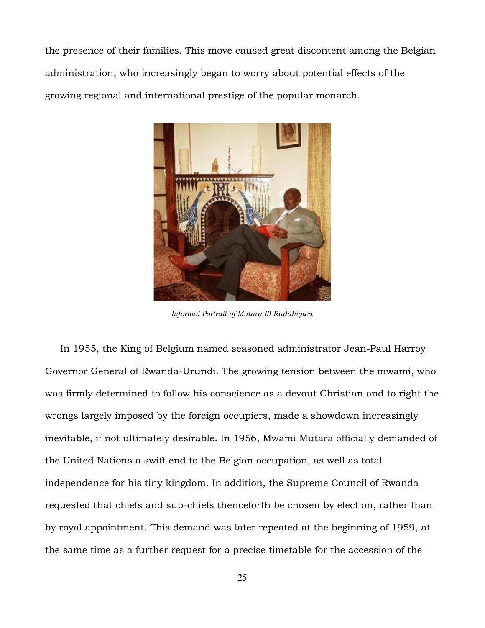the presence of their families. This move caused great discontent among the Belgian administration, who increasingly began to worry about potential effects of the growing regional and international prestige of the popular monarch.



*Informal Portrait of Mutara III Rudahigwa*

 In 1955, the King of Belgium named seasoned administrator Jean-Paul Harroy Governor General of Rwanda-Urundi. The growing tension between the mwami, who was firmly determined to follow his conscience as a devout Christian and to right the wrongs largely imposed by the foreign occupiers, made a showdown increasingly inevitable, if not ultimately desirable. In 1956, Mwami Mutara officially demanded of the United Nations a swift end to the Belgian occupation, as well as total independence for his tiny kingdom. In addition, the Supreme Council of Rwanda requested that chiefs and sub-chiefs thenceforth be chosen by election, rather than by royal appointment. This demand was later repeated at the beginning of 1959, at the same time as a further request for a precise timetable for the accession of the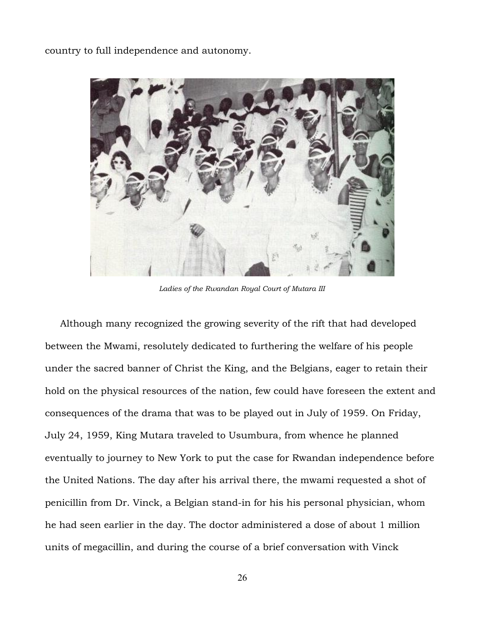country to full independence and autonomy.



*Ladies of the Rwandan Royal Court of Mutara III*

 Although many recognized the growing severity of the rift that had developed between the Mwami, resolutely dedicated to furthering the welfare of his people under the sacred banner of Christ the King, and the Belgians, eager to retain their hold on the physical resources of the nation, few could have foreseen the extent and consequences of the drama that was to be played out in July of 1959. On Friday, July 24, 1959, King Mutara traveled to Usumbura, from whence he planned eventually to journey to New York to put the case for Rwandan independence before the United Nations. The day after his arrival there, the mwami requested a shot of penicillin from Dr. Vinck, a Belgian stand-in for his his personal physician, whom he had seen earlier in the day. The doctor administered a dose of about 1 million units of megacillin, and during the course of a brief conversation with Vinck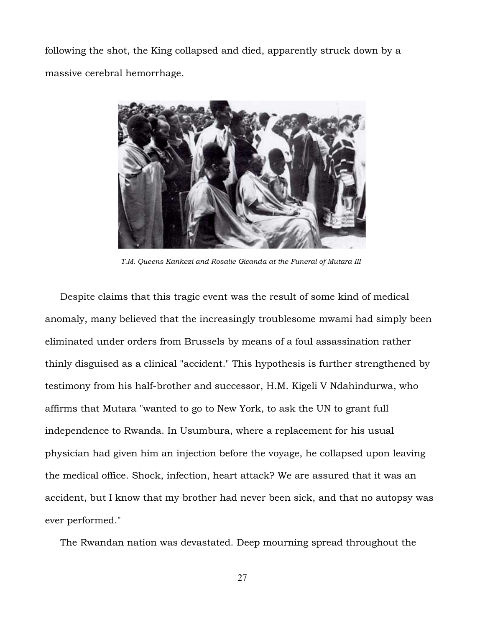following the shot, the King collapsed and died, apparently struck down by a massive cerebral hemorrhage.



*T.M. Queens Kankezi and Rosalie Gicanda at the Funeral of Mutara III* 

 Despite claims that this tragic event was the result of some kind of medical anomaly, many believed that the increasingly troublesome mwami had simply been eliminated under orders from Brussels by means of a foul assassination rather thinly disguised as a clinical "accident." This hypothesis is further strengthened by testimony from his half-brother and successor, H.M. Kigeli V Ndahindurwa, who affirms that Mutara "wanted to go to New York, to ask the UN to grant full independence to Rwanda. In Usumbura, where a replacement for his usual physician had given him an injection before the voyage, he collapsed upon leaving the medical office. Shock, infection, heart attack? We are assured that it was an accident, but I know that my brother had never been sick, and that no autopsy was ever performed."

The Rwandan nation was devastated. Deep mourning spread throughout the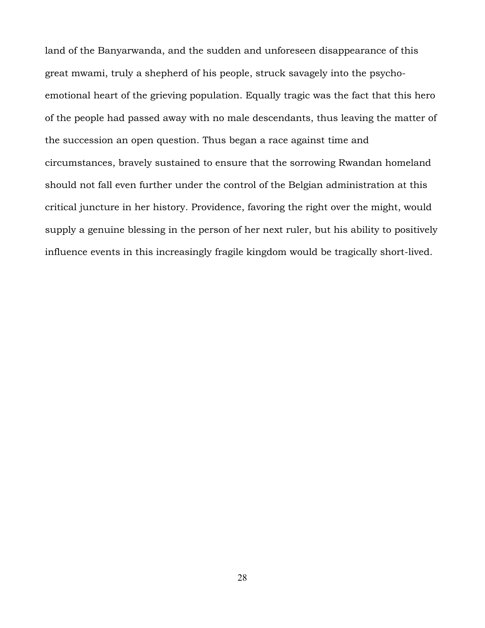land of the Banyarwanda, and the sudden and unforeseen disappearance of this great mwami, truly a shepherd of his people, struck savagely into the psychoemotional heart of the grieving population. Equally tragic was the fact that this hero of the people had passed away with no male descendants, thus leaving the matter of the succession an open question. Thus began a race against time and circumstances, bravely sustained to ensure that the sorrowing Rwandan homeland should not fall even further under the control of the Belgian administration at this critical juncture in her history. Providence, favoring the right over the might, would supply a genuine blessing in the person of her next ruler, but his ability to positively influence events in this increasingly fragile kingdom would be tragically short-lived.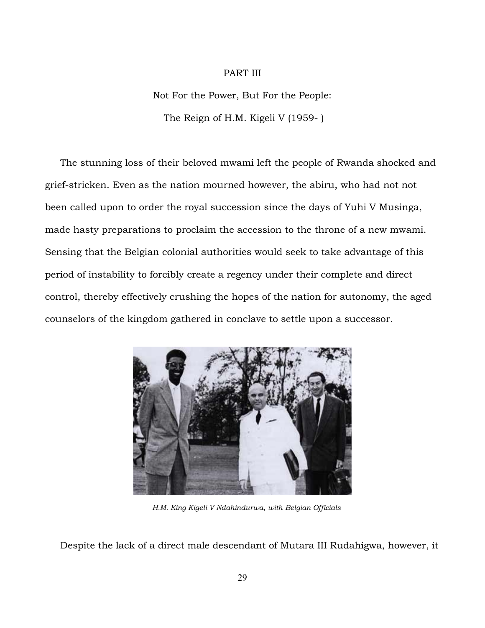# PART III

Not For the Power, But For the People: The Reign of H.M. Kigeli V (1959- )

 The stunning loss of their beloved mwami left the people of Rwanda shocked and grief-stricken. Even as the nation mourned however, the abiru, who had not not been called upon to order the royal succession since the days of Yuhi V Musinga, made hasty preparations to proclaim the accession to the throne of a new mwami. Sensing that the Belgian colonial authorities would seek to take advantage of this period of instability to forcibly create a regency under their complete and direct control, thereby effectively crushing the hopes of the nation for autonomy, the aged counselors of the kingdom gathered in conclave to settle upon a successor.



*H.M. King Kigeli V Ndahindurwa, with Belgian Officials*

Despite the lack of a direct male descendant of Mutara III Rudahigwa, however, it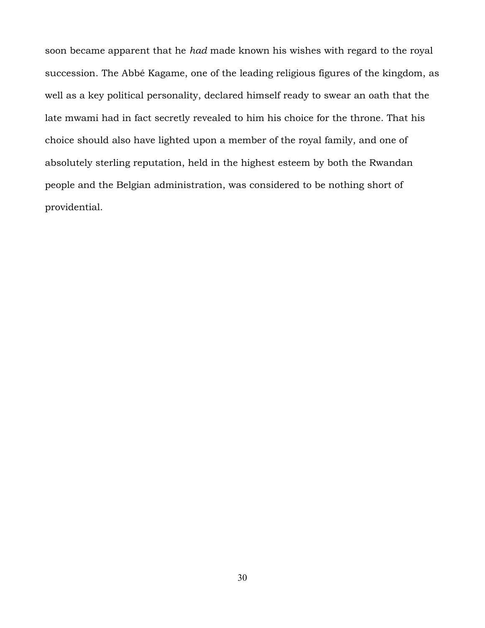soon became apparent that he *had* made known his wishes with regard to the royal succession. The Abbé Kagame, one of the leading religious figures of the kingdom, as well as a key political personality, declared himself ready to swear an oath that the late mwami had in fact secretly revealed to him his choice for the throne. That his choice should also have lighted upon a member of the royal family, and one of absolutely sterling reputation, held in the highest esteem by both the Rwandan people and the Belgian administration, was considered to be nothing short of providential.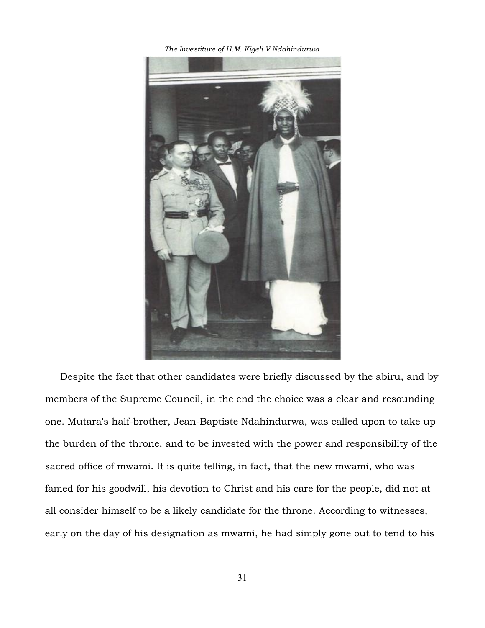*The Investiture of H.M. Kigeli V Ndahindurwa*



 Despite the fact that other candidates were briefly discussed by the abiru, and by members of the Supreme Council, in the end the choice was a clear and resounding one. Mutara's half-brother, Jean-Baptiste Ndahindurwa, was called upon to take up the burden of the throne, and to be invested with the power and responsibility of the sacred office of mwami. It is quite telling, in fact, that the new mwami, who was famed for his goodwill, his devotion to Christ and his care for the people, did not at all consider himself to be a likely candidate for the throne. According to witnesses, early on the day of his designation as mwami, he had simply gone out to tend to his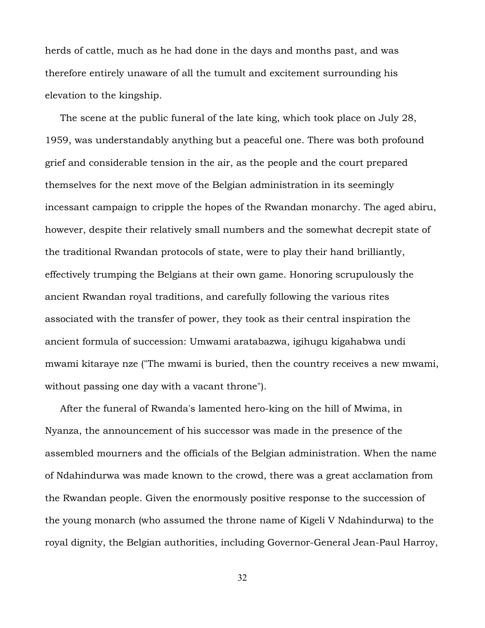herds of cattle, much as he had done in the days and months past, and was therefore entirely unaware of all the tumult and excitement surrounding his elevation to the kingship.

 The scene at the public funeral of the late king, which took place on July 28, 1959, was understandably anything but a peaceful one. There was both profound grief and considerable tension in the air, as the people and the court prepared themselves for the next move of the Belgian administration in its seemingly incessant campaign to cripple the hopes of the Rwandan monarchy. The aged abiru, however, despite their relatively small numbers and the somewhat decrepit state of the traditional Rwandan protocols of state, were to play their hand brilliantly, effectively trumping the Belgians at their own game. Honoring scrupulously the ancient Rwandan royal traditions, and carefully following the various rites associated with the transfer of power, they took as their central inspiration the ancient formula of succession: Umwami aratabazwa, igihugu kigahabwa undi mwami kitaraye nze ("The mwami is buried, then the country receives a new mwami, without passing one day with a vacant throne").

 After the funeral of Rwanda's lamented hero-king on the hill of Mwima, in Nyanza, the announcement of his successor was made in the presence of the assembled mourners and the officials of the Belgian administration. When the name of Ndahindurwa was made known to the crowd, there was a great acclamation from the Rwandan people. Given the enormously positive response to the succession of the young monarch (who assumed the throne name of Kigeli V Ndahindurwa) to the royal dignity, the Belgian authorities, including Governor-General Jean-Paul Harroy,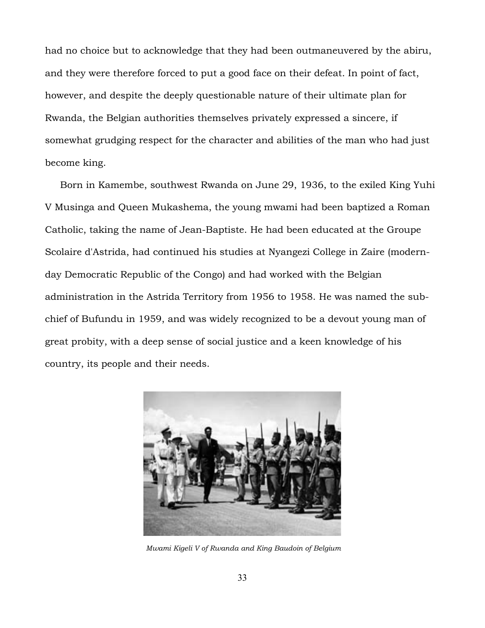had no choice but to acknowledge that they had been outmaneuvered by the abiru, and they were therefore forced to put a good face on their defeat. In point of fact, however, and despite the deeply questionable nature of their ultimate plan for Rwanda, the Belgian authorities themselves privately expressed a sincere, if somewhat grudging respect for the character and abilities of the man who had just become king.

 Born in Kamembe, southwest Rwanda on June 29, 1936, to the exiled King Yuhi V Musinga and Queen Mukashema, the young mwami had been baptized a Roman Catholic, taking the name of Jean-Baptiste. He had been educated at the Groupe Scolaire d'Astrida, had continued his studies at Nyangezi College in Zaire (modernday Democratic Republic of the Congo) and had worked with the Belgian administration in the Astrida Territory from 1956 to 1958. He was named the subchief of Bufundu in 1959, and was widely recognized to be a devout young man of great probity, with a deep sense of social justice and a keen knowledge of his country, its people and their needs.



*Mwami Kigeli V of Rwanda and King Baudoin of Belgium*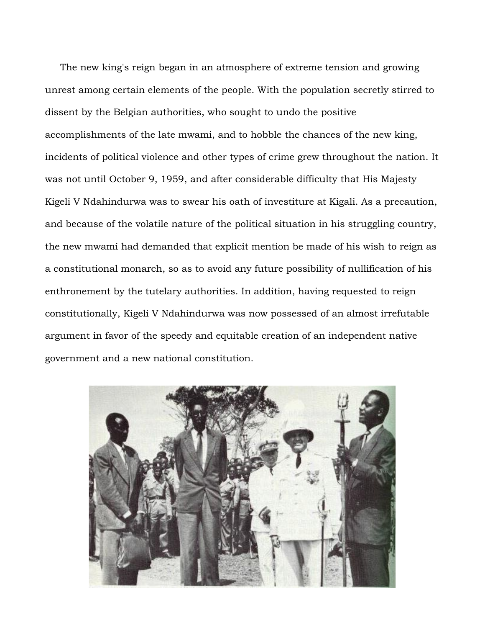The new king's reign began in an atmosphere of extreme tension and growing unrest among certain elements of the people. With the population secretly stirred to dissent by the Belgian authorities, who sought to undo the positive accomplishments of the late mwami, and to hobble the chances of the new king, incidents of political violence and other types of crime grew throughout the nation. It was not until October 9, 1959, and after considerable difficulty that His Majesty Kigeli V Ndahindurwa was to swear his oath of investiture at Kigali. As a precaution, and because of the volatile nature of the political situation in his struggling country, the new mwami had demanded that explicit mention be made of his wish to reign as a constitutional monarch, so as to avoid any future possibility of nullification of his enthronement by the tutelary authorities. In addition, having requested to reign constitutionally, Kigeli V Ndahindurwa was now possessed of an almost irrefutable argument in favor of the speedy and equitable creation of an independent native government and a new national constitution.

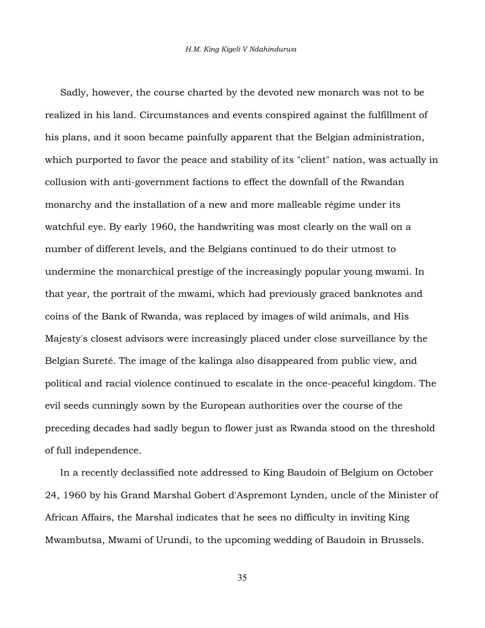Sadly, however, the course charted by the devoted new monarch was not to be realized in his land. Circumstances and events conspired against the fulfillment of his plans, and it soon became painfully apparent that the Belgian administration, which purported to favor the peace and stability of its "client" nation, was actually in collusion with anti-government factions to effect the downfall of the Rwandan monarchy and the installation of a new and more malleable régime under its watchful eye. By early 1960, the handwriting was most clearly on the wall on a number of different levels, and the Belgians continued to do their utmost to undermine the monarchical prestige of the increasingly popular young mwami. In that year, the portrait of the mwami, which had previously graced banknotes and coins of the Bank of Rwanda, was replaced by images of wild animals, and His Majesty's closest advisors were increasingly placed under close surveillance by the Belgian Sureté. The image of the kalinga also disappeared from public view, and political and racial violence continued to escalate in the once-peaceful kingdom. The evil seeds cunningly sown by the European authorities over the course of the preceding decades had sadly begun to flower just as Rwanda stood on the threshold of full independence.

 In a recently declassified note addressed to King Baudoin of Belgium on October 24, 1960 by his Grand Marshal Gobert d'Aspremont Lynden, uncle of the Minister of African Affairs, the Marshal indicates that he sees no difficulty in inviting King Mwambutsa, Mwami of Urundi, to the upcoming wedding of Baudoin in Brussels.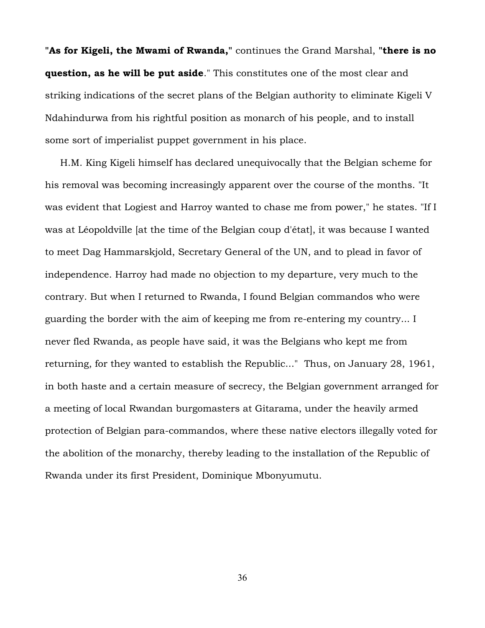**"As for Kigeli, the Mwami of Rwanda,"** continues the Grand Marshal, **"there is no question, as he will be put aside**." This constitutes one of the most clear and striking indications of the secret plans of the Belgian authority to eliminate Kigeli V Ndahindurwa from his rightful position as monarch of his people, and to install some sort of imperialist puppet government in his place.

 H.M. King Kigeli himself has declared unequivocally that the Belgian scheme for his removal was becoming increasingly apparent over the course of the months. "It was evident that Logiest and Harroy wanted to chase me from power," he states. "If I was at Léopoldville [at the time of the Belgian coup d'état], it was because I wanted to meet Dag Hammarskjold, Secretary General of the UN, and to plead in favor of independence. Harroy had made no objection to my departure, very much to the contrary. But when I returned to Rwanda, I found Belgian commandos who were guarding the border with the aim of keeping me from re-entering my country... I never fled Rwanda, as people have said, it was the Belgians who kept me from returning, for they wanted to establish the Republic..." Thus, on January 28, 1961, in both haste and a certain measure of secrecy, the Belgian government arranged for a meeting of local Rwandan burgomasters at Gitarama, under the heavily armed protection of Belgian para-commandos, where these native electors illegally voted for the abolition of the monarchy, thereby leading to the installation of the Republic of Rwanda under its first President, Dominique Mbonyumutu.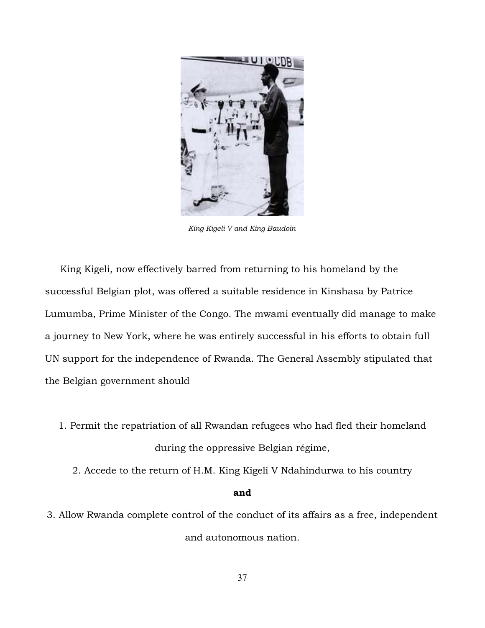

*King Kigeli V and King Baudoin*

 King Kigeli, now effectively barred from returning to his homeland by the successful Belgian plot, was offered a suitable residence in Kinshasa by Patrice Lumumba, Prime Minister of the Congo. The mwami eventually did manage to make a journey to New York, where he was entirely successful in his efforts to obtain full UN support for the independence of Rwanda. The General Assembly stipulated that the Belgian government should

- 1. Permit the repatriation of all Rwandan refugees who had fled their homeland during the oppressive Belgian régime,
	- 2. Accede to the return of H.M. King Kigeli V Ndahindurwa to his country

## **and**

3. Allow Rwanda complete control of the conduct of its affairs as a free, independent and autonomous nation.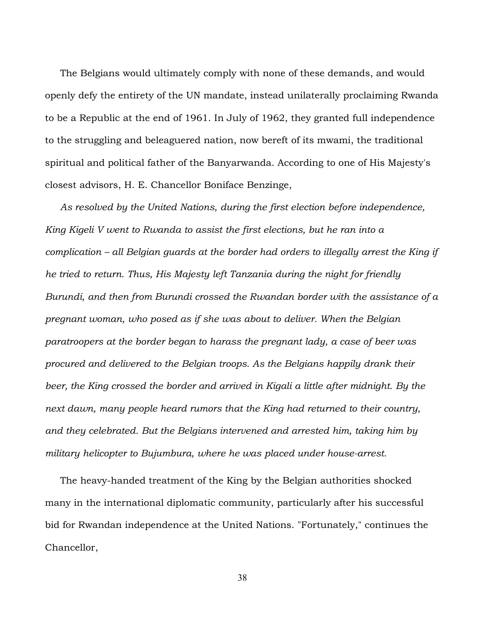The Belgians would ultimately comply with none of these demands, and would openly defy the entirety of the UN mandate, instead unilaterally proclaiming Rwanda to be a Republic at the end of 1961. In July of 1962, they granted full independence to the struggling and beleaguered nation, now bereft of its mwami, the traditional spiritual and political father of the Banyarwanda. According to one of His Majesty's closest advisors, H. E. Chancellor Boniface Benzinge,

 *As resolved by the United Nations, during the first election before independence, King Kigeli V went to Rwanda to assist the first elections, but he ran into a complication – all Belgian guards at the border had orders to illegally arrest the King if he tried to return. Thus, His Majesty left Tanzania during the night for friendly Burundi, and then from Burundi crossed the Rwandan border with the assistance of a pregnant woman, who posed as if she was about to deliver. When the Belgian paratroopers at the border began to harass the pregnant lady, a case of beer was procured and delivered to the Belgian troops. As the Belgians happily drank their beer, the King crossed the border and arrived in Kigali a little after midnight. By the next dawn, many people heard rumors that the King had returned to their country, and they celebrated. But the Belgians intervened and arrested him, taking him by military helicopter to Bujumbura, where he was placed under house-arrest.*

 The heavy-handed treatment of the King by the Belgian authorities shocked many in the international diplomatic community, particularly after his successful bid for Rwandan independence at the United Nations. "Fortunately," continues the Chancellor,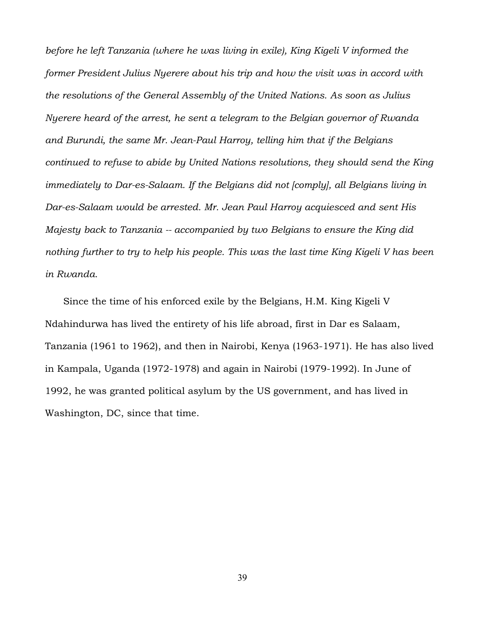*before he left Tanzania (where he was living in exile), King Kigeli V informed the former President Julius Nyerere about his trip and how the visit was in accord with the resolutions of the General Assembly of the United Nations. As soon as Julius Nyerere heard of the arrest, he sent a telegram to the Belgian governor of Rwanda and Burundi, the same Mr. Jean-Paul Harroy, telling him that if the Belgians continued to refuse to abide by United Nations resolutions, they should send the King immediately to Dar-es-Salaam. If the Belgians did not [comply], all Belgians living in Dar-es-Salaam would be arrested. Mr. Jean Paul Harroy acquiesced and sent His Majesty back to Tanzania -- accompanied by two Belgians to ensure the King did nothing further to try to help his people. This was the last time King Kigeli V has been in Rwanda.*

 Since the time of his enforced exile by the Belgians, H.M. King Kigeli V Ndahindurwa has lived the entirety of his life abroad, first in Dar es Salaam, Tanzania (1961 to 1962), and then in Nairobi, Kenya (1963-1971). He has also lived in Kampala, Uganda (1972-1978) and again in Nairobi (1979-1992). In June of 1992, he was granted political asylum by the US government, and has lived in Washington, DC, since that time.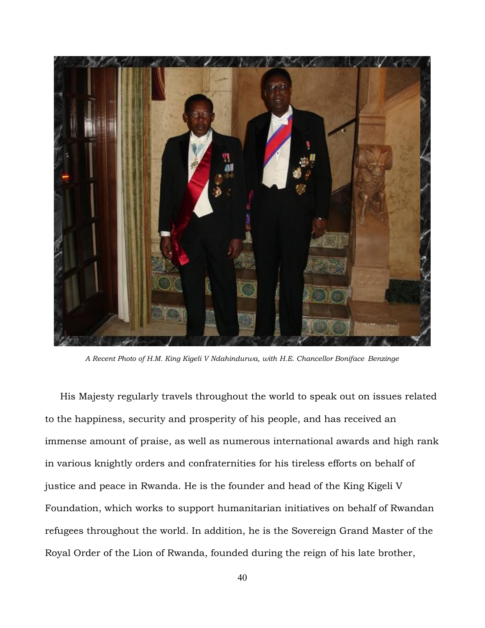

*A Recent Photo of H.M. King Kigeli V Ndahindurwa, with H.E. Chancellor Boniface Benzinge*

 His Majesty regularly travels throughout the world to speak out on issues related to the happiness, security and prosperity of his people, and has received an immense amount of praise, as well as numerous international awards and high rank in various knightly orders and confraternities for his tireless efforts on behalf of justice and peace in Rwanda. He is the founder and head of the King Kigeli V Foundation, which works to support humanitarian initiatives on behalf of Rwandan refugees throughout the world. In addition, he is the Sovereign Grand Master of the Royal Order of the Lion of Rwanda, founded during the reign of his late brother,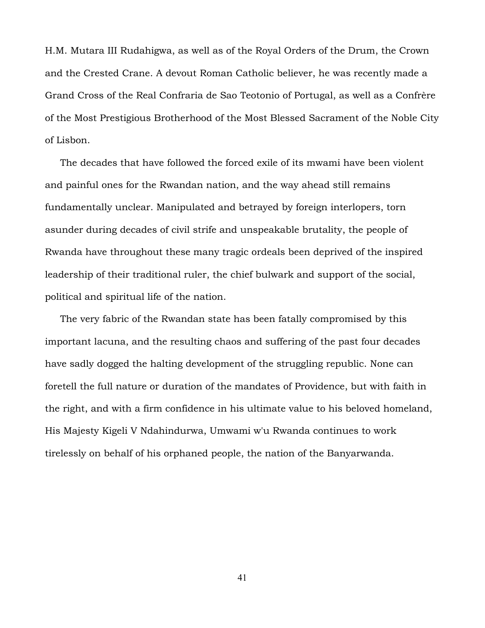H.M. Mutara III Rudahigwa, as well as of the Royal Orders of the Drum, the Crown and the Crested Crane. A devout Roman Catholic believer, he was recently made a Grand Cross of the Real Confraria de Sao Teotonio of Portugal, as well as a Confrère of the Most Prestigious Brotherhood of the Most Blessed Sacrament of the Noble City of Lisbon.

 The decades that have followed the forced exile of its mwami have been violent and painful ones for the Rwandan nation, and the way ahead still remains fundamentally unclear. Manipulated and betrayed by foreign interlopers, torn asunder during decades of civil strife and unspeakable brutality, the people of Rwanda have throughout these many tragic ordeals been deprived of the inspired leadership of their traditional ruler, the chief bulwark and support of the social, political and spiritual life of the nation.

 The very fabric of the Rwandan state has been fatally compromised by this important lacuna, and the resulting chaos and suffering of the past four decades have sadly dogged the halting development of the struggling republic. None can foretell the full nature or duration of the mandates of Providence, but with faith in the right, and with a firm confidence in his ultimate value to his beloved homeland, His Majesty Kigeli V Ndahindurwa, Umwami w'u Rwanda continues to work tirelessly on behalf of his orphaned people, the nation of the Banyarwanda.